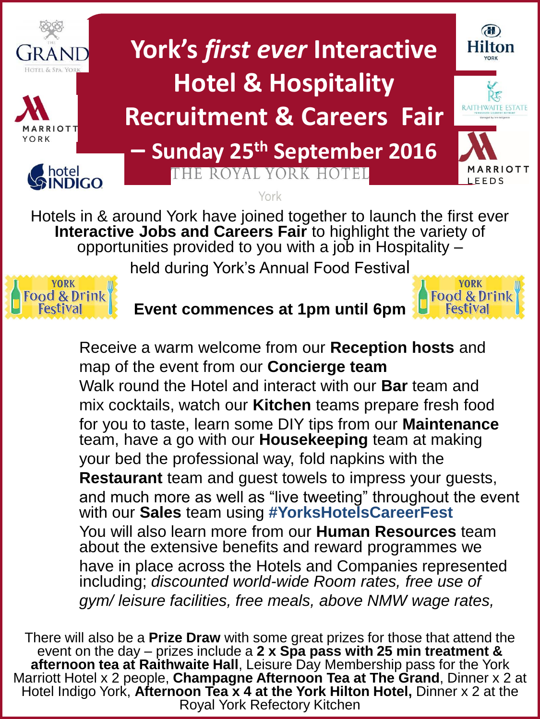

**Interactive Jobs and Careers Fair** to highlight the variety of opportunities provided to you with a job in Hospitality –

held during York's Annual Food Festival



**Event commences at 1pm until 6pm**



Receive a warm welcome from our **Reception hosts** and map of the event from our **Concierge team** Walk round the Hotel and interact with our **Bar** team and mix cocktails, watch our **Kitchen** teams prepare fresh food for you to taste, learn some DIY tips from our **Maintenance** team, have a go with our **Housekeeping** team at making your bed the professional way, fold napkins with the **Restaurant** team and guest towels to impress your guests, and much more as well as "live tweeting" throughout the event with our **Sales** team using **#YorksHotelsCareerFest** You will also learn more from our **Human Resources** team about the extensive benefits and reward programmes we have in place across the Hotels and Companies represented including; *discounted world-wide Room rates, free use of gym/ leisure facilities, free meals, above NMW wage rates,* 

There will also be a **Prize Draw** with some great prizes for those that attend the event on the day – prizes include a **2 x Spa pass with 25 min treatment & afternoon tea at Raithwaite Hall**, Leisure Day Membership pass for the York Marriott Hotel x 2 people, **Champagne Afternoon Tea at The Grand**, Dinner x 2 at Hotel Indigo York, **Afternoon Tea x 4 at the York Hilton Hotel,** Dinner x 2 at the Royal York Refectory Kitchen